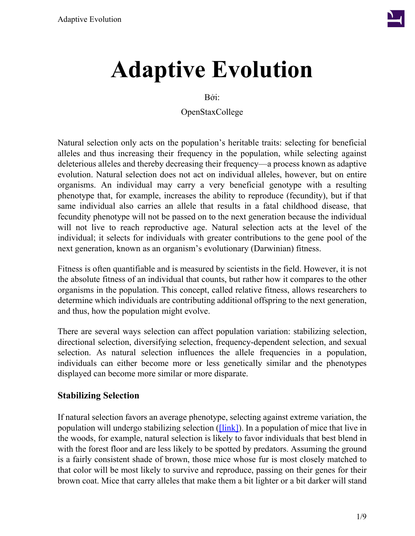

# **Adaptive Evolution**

Bởi:

OpenStaxCollege

Natural selection only acts on the population's heritable traits: selecting for beneficial alleles and thus increasing their frequency in the population, while selecting against deleterious alleles and thereby decreasing their frequency—a process known as adaptive evolution. Natural selection does not act on individual alleles, however, but on entire organisms. An individual may carry a very beneficial genotype with a resulting phenotype that, for example, increases the ability to reproduce (fecundity), but if that same individual also carries an allele that results in a fatal childhood disease, that fecundity phenotype will not be passed on to the next generation because the individual will not live to reach reproductive age. Natural selection acts at the level of the individual; it selects for individuals with greater contributions to the gene pool of the next generation, known as an organism's evolutionary (Darwinian) fitness.

Fitness is often quantifiable and is measured by scientists in the field. However, it is not the absolute fitness of an individual that counts, but rather how it compares to the other organisms in the population. This concept, called relative fitness, allows researchers to determine which individuals are contributing additional offspring to the next generation, and thus, how the population might evolve.

There are several ways selection can affect population variation: stabilizing selection, directional selection, diversifying selection, frequency-dependent selection, and sexual selection. As natural selection influences the allele frequencies in a population, individuals can either become more or less genetically similar and the phenotypes displayed can become more similar or more disparate.

#### **Stabilizing Selection**

If natural selection favors an average phenotype, selecting against extreme variation, the population will undergo stabilizing selection  $([\text{link}])$ . In a population of mice that live in the woods, for example, natural selection is likely to favor individuals that best blend in with the forest floor and are less likely to be spotted by predators. Assuming the ground is a fairly consistent shade of brown, those mice whose fur is most closely matched to that color will be most likely to survive and reproduce, passing on their genes for their brown coat. Mice that carry alleles that make them a bit lighter or a bit darker will stand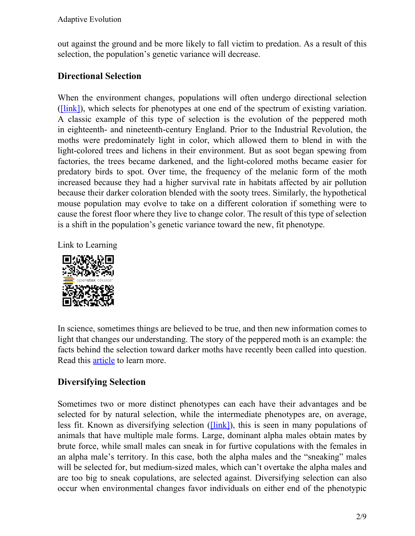Adaptive Evolution

out against the ground and be more likely to fall victim to predation. As a result of this selection, the population's genetic variance will decrease.

# **Directional Selection**

When the environment changes, populations will often undergo directional selection [\(\[link\]](/#fig-ch19_03_01)), which selects for phenotypes at one end of the spectrum of existing variation. A classic example of this type of selection is the evolution of the peppered moth in eighteenth- and nineteenth-century England. Prior to the Industrial Revolution, the moths were predominately light in color, which allowed them to blend in with the light-colored trees and lichens in their environment. But as soot began spewing from factories, the trees became darkened, and the light-colored moths became easier for predatory birds to spot. Over time, the frequency of the melanic form of the moth increased because they had a higher survival rate in habitats affected by air pollution because their darker coloration blended with the sooty trees. Similarly, the hypothetical mouse population may evolve to take on a different coloration if something were to cause the forest floor where they live to change color. The result of this type of selection is a shift in the population's genetic variance toward the new, fit phenotype.

Link to Learning



In science, sometimes things are believed to be true, and then new information comes to light that changes our understanding. The story of the peppered moth is an example: the facts behind the selection toward darker moths have recently been called into question. Read this [article](http://openstaxcollege.org/l/peppered_moths) to learn more.

# **Diversifying Selection**

Sometimes two or more distinct phenotypes can each have their advantages and be selected for by natural selection, while the intermediate phenotypes are, on average, less fit. Known as diversifying selection [\(\[link\]](/#fig-ch19_03_01)), this is seen in many populations of animals that have multiple male forms. Large, dominant alpha males obtain mates by brute force, while small males can sneak in for furtive copulations with the females in an alpha male's territory. In this case, both the alpha males and the "sneaking" males will be selected for, but medium-sized males, which can't overtake the alpha males and are too big to sneak copulations, are selected against. Diversifying selection can also occur when environmental changes favor individuals on either end of the phenotypic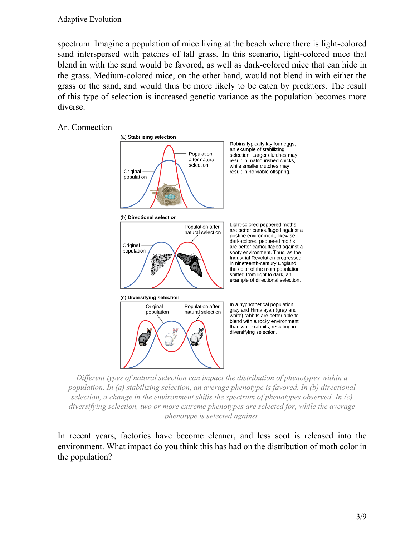spectrum. Imagine a population of mice living at the beach where there is light-colored sand interspersed with patches of tall grass. In this scenario, light-colored mice that blend in with the sand would be favored, as well as dark-colored mice that can hide in the grass. Medium-colored mice, on the other hand, would not blend in with either the grass or the sand, and would thus be more likely to be eaten by predators. The result of this type of selection is increased genetic variance as the population becomes more diverse.

Art Connection



*Different types of natural selection can impact the distribution of phenotypes within a population. In (a) stabilizing selection, an average phenotype is favored. In (b) directional selection, a change in the environment shifts the spectrum of phenotypes observed. In (c) diversifying selection, two or more extreme phenotypes are selected for, while the average phenotype is selected against.*

In recent years, factories have become cleaner, and less soot is released into the environment. What impact do you think this has had on the distribution of moth color in the population?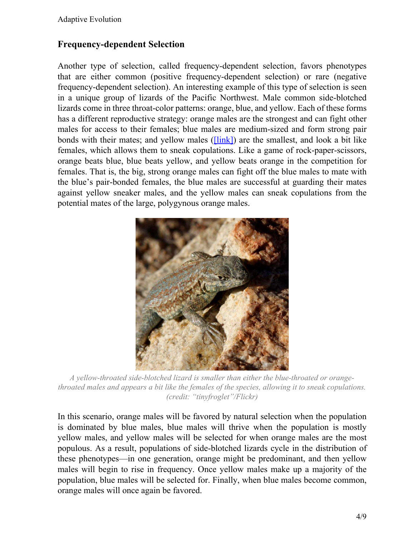## **Frequency-dependent Selection**

Another type of selection, called frequency-dependent selection, favors phenotypes that are either common (positive frequency-dependent selection) or rare (negative frequency-dependent selection). An interesting example of this type of selection is seen in a unique group of lizards of the Pacific Northwest. Male common side-blotched lizards come in three throat-color patterns: orange, blue, and yellow. Each of these forms has a different reproductive strategy: orange males are the strongest and can fight other males for access to their females; blue males are medium-sized and form strong pair bonds with their mates; and yellow males  $($ <u>[link]</u>) are the smallest, and look a bit like females, which allows them to sneak copulations. Like a game of rock-paper-scissors, orange beats blue, blue beats yellow, and yellow beats orange in the competition for females. That is, the big, strong orange males can fight off the blue males to mate with the blue's pair-bonded females, the blue males are successful at guarding their mates against yellow sneaker males, and the yellow males can sneak copulations from the potential mates of the large, polygynous orange males.



*A yellow-throated side-blotched lizard is smaller than either the blue-throated or orangethroated males and appears a bit like the females of the species, allowing it to sneak copulations. (credit: "tinyfroglet"/Flickr)*

In this scenario, orange males will be favored by natural selection when the population is dominated by blue males, blue males will thrive when the population is mostly yellow males, and yellow males will be selected for when orange males are the most populous. As a result, populations of side-blotched lizards cycle in the distribution of these phenotypes—in one generation, orange might be predominant, and then yellow males will begin to rise in frequency. Once yellow males make up a majority of the population, blue males will be selected for. Finally, when blue males become common, orange males will once again be favored.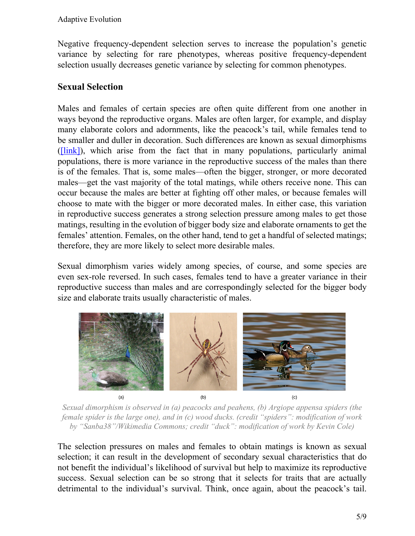Negative frequency-dependent selection serves to increase the population's genetic variance by selecting for rare phenotypes, whereas positive frequency-dependent selection usually decreases genetic variance by selecting for common phenotypes.

## **Sexual Selection**

Males and females of certain species are often quite different from one another in ways beyond the reproductive organs. Males are often larger, for example, and display many elaborate colors and adornments, like the peacock's tail, while females tend to be smaller and duller in decoration. Such differences are known as sexual dimorphisms [\(\[link\]](/#fig-ch19_03_03)), which arise from the fact that in many populations, particularly animal populations, there is more variance in the reproductive success of the males than there is of the females. That is, some males—often the bigger, stronger, or more decorated males—get the vast majority of the total matings, while others receive none. This can occur because the males are better at fighting off other males, or because females will choose to mate with the bigger or more decorated males. In either case, this variation in reproductive success generates a strong selection pressure among males to get those matings, resulting in the evolution of bigger body size and elaborate ornaments to get the females' attention. Females, on the other hand, tend to get a handful of selected matings; therefore, they are more likely to select more desirable males.

Sexual dimorphism varies widely among species, of course, and some species are even sex-role reversed. In such cases, females tend to have a greater variance in their reproductive success than males and are correspondingly selected for the bigger body size and elaborate traits usually characteristic of males.



*Sexual dimorphism is observed in (a) peacocks and peahens, (b) Argiope appensa spiders (the female spider is the large one), and in (c) wood ducks. (credit "spiders": modification of work by "Sanba38"/Wikimedia Commons; credit "duck": modification of work by Kevin Cole)*

The selection pressures on males and females to obtain matings is known as sexual selection; it can result in the development of secondary sexual characteristics that do not benefit the individual's likelihood of survival but help to maximize its reproductive success. Sexual selection can be so strong that it selects for traits that are actually detrimental to the individual's survival. Think, once again, about the peacock's tail.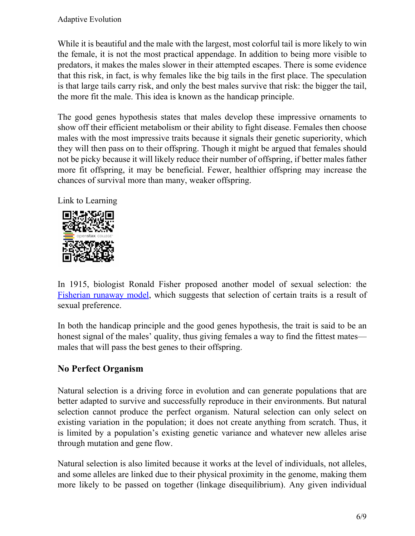While it is beautiful and the male with the largest, most colorful tail is more likely to win the female, it is not the most practical appendage. In addition to being more visible to predators, it makes the males slower in their attempted escapes. There is some evidence that this risk, in fact, is why females like the big tails in the first place. The speculation is that large tails carry risk, and only the best males survive that risk: the bigger the tail, the more fit the male. This idea is known as the handicap principle.

The good genes hypothesis states that males develop these impressive ornaments to show off their efficient metabolism or their ability to fight disease. Females then choose males with the most impressive traits because it signals their genetic superiority, which they will then pass on to their offspring. Though it might be argued that females should not be picky because it will likely reduce their number of offspring, if better males father more fit offspring, it may be beneficial. Fewer, healthier offspring may increase the chances of survival more than many, weaker offspring.

Link to Learning



In 1915, biologist Ronald Fisher proposed another model of sexual selection: the [Fisherian](http://openstaxcollege.org/l/sexual_select) runaway model, which suggests that selection of certain traits is a result of sexual preference.

In both the handicap principle and the good genes hypothesis, the trait is said to be an honest signal of the males' quality, thus giving females a way to find the fittest mates males that will pass the best genes to their offspring.

### **No Perfect Organism**

Natural selection is a driving force in evolution and can generate populations that are better adapted to survive and successfully reproduce in their environments. But natural selection cannot produce the perfect organism. Natural selection can only select on existing variation in the population; it does not create anything from scratch. Thus, it is limited by a population's existing genetic variance and whatever new alleles arise through mutation and gene flow.

Natural selection is also limited because it works at the level of individuals, not alleles, and some alleles are linked due to their physical proximity in the genome, making them more likely to be passed on together (linkage disequilibrium). Any given individual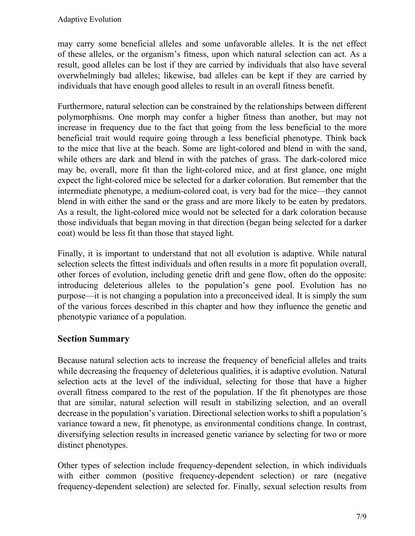may carry some beneficial alleles and some unfavorable alleles. It is the net effect of these alleles, or the organism's fitness, upon which natural selection can act. As a result, good alleles can be lost if they are carried by individuals that also have several overwhelmingly bad alleles; likewise, bad alleles can be kept if they are carried by individuals that have enough good alleles to result in an overall fitness benefit.

Furthermore, natural selection can be constrained by the relationships between different polymorphisms. One morph may confer a higher fitness than another, but may not increase in frequency due to the fact that going from the less beneficial to the more beneficial trait would require going through a less beneficial phenotype. Think back to the mice that live at the beach. Some are light-colored and blend in with the sand, while others are dark and blend in with the patches of grass. The dark-colored mice may be, overall, more fit than the light-colored mice, and at first glance, one might expect the light-colored mice be selected for a darker coloration. But remember that the intermediate phenotype, a medium-colored coat, is very bad for the mice—they cannot blend in with either the sand or the grass and are more likely to be eaten by predators. As a result, the light-colored mice would not be selected for a dark coloration because those individuals that began moving in that direction (began being selected for a darker coat) would be less fit than those that stayed light.

Finally, it is important to understand that not all evolution is adaptive. While natural selection selects the fittest individuals and often results in a more fit population overall, other forces of evolution, including genetic drift and gene flow, often do the opposite: introducing deleterious alleles to the population's gene pool. Evolution has no purpose—it is not changing a population into a preconceived ideal. It is simply the sum of the various forces described in this chapter and how they influence the genetic and phenotypic variance of a population.

### **Section Summary**

Because natural selection acts to increase the frequency of beneficial alleles and traits while decreasing the frequency of deleterious qualities, it is adaptive evolution. Natural selection acts at the level of the individual, selecting for those that have a higher overall fitness compared to the rest of the population. If the fit phenotypes are those that are similar, natural selection will result in stabilizing selection, and an overall decrease in the population's variation. Directional selection works to shift a population's variance toward a new, fit phenotype, as environmental conditions change. In contrast, diversifying selection results in increased genetic variance by selecting for two or more distinct phenotypes.

Other types of selection include frequency-dependent selection, in which individuals with either common (positive frequency-dependent selection) or rare (negative frequency-dependent selection) are selected for. Finally, sexual selection results from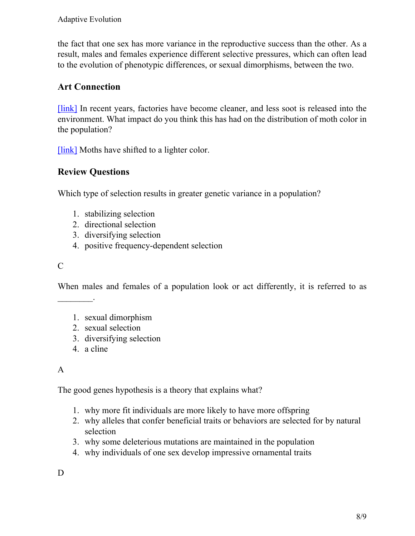#### Adaptive Evolution

the fact that one sex has more variance in the reproductive success than the other. As a result, males and females experience different selective pressures, which can often lead to the evolution of phenotypic differences, or sexual dimorphisms, between the two.

### **Art Connection**

[\[link\]](/#fig-ch19_03_01) In recent years, factories have become cleaner, and less soot is released into the environment. What impact do you think this has had on the distribution of moth color in the population?

[\[link\]](/#fig-ch19_03_01) Moths have shifted to a lighter color.

#### **Review Questions**

Which type of selection results in greater genetic variance in a population?

- 1. stabilizing selection
- 2. directional selection
- 3. diversifying selection
- 4. positive frequency-dependent selection

#### $\mathcal{C}$

 $\mathcal{L}_\text{max}$ 

When males and females of a population look or act differently, it is referred to as

- 1. sexual dimorphism
- 2. sexual selection
- 3. diversifying selection
- 4. a cline

#### A

The good genes hypothesis is a theory that explains what?

- 1. why more fit individuals are more likely to have more offspring
- 2. why alleles that confer beneficial traits or behaviors are selected for by natural selection
- 3. why some deleterious mutations are maintained in the population
- 4. why individuals of one sex develop impressive ornamental traits